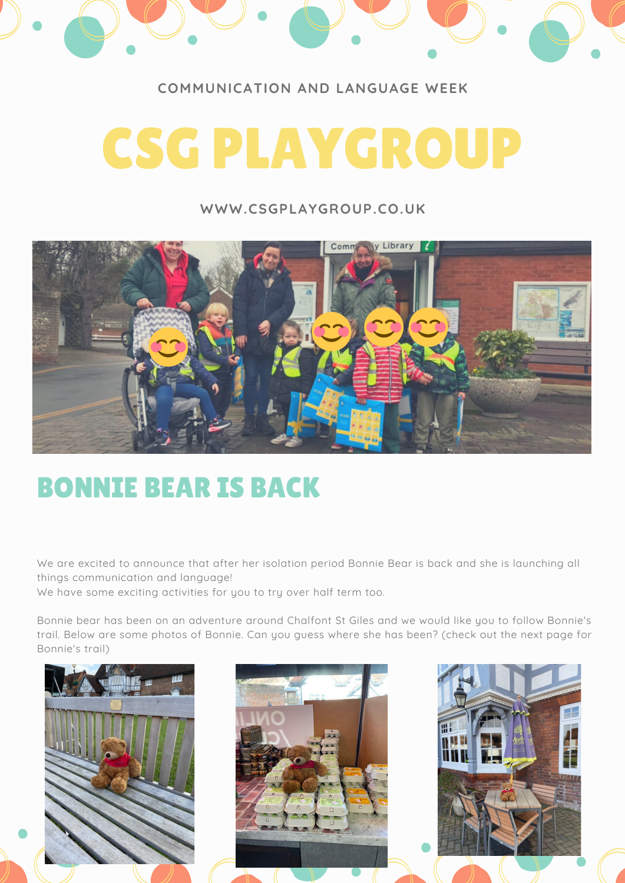

### **COMMUNICATION AND LANGUAGE WEEK**

# CSG PLAYGROUP

#### **WWW.CSGPLAYGROUP.CO.UK**



## BONNIE BEAR IS BACK

We are excited to announce that after her isolation period Bonnie Bear is back and she is launching all things communication and language!

We have some exciting activities for you to try over half term too.

Bonnie bear has been on an adventure around Chalfont St Giles and we would like you to follow Bonnie's trail. Below are some photos of Bonnie. Can you guess where she has been? (check out the next page for Bonnie's trail)